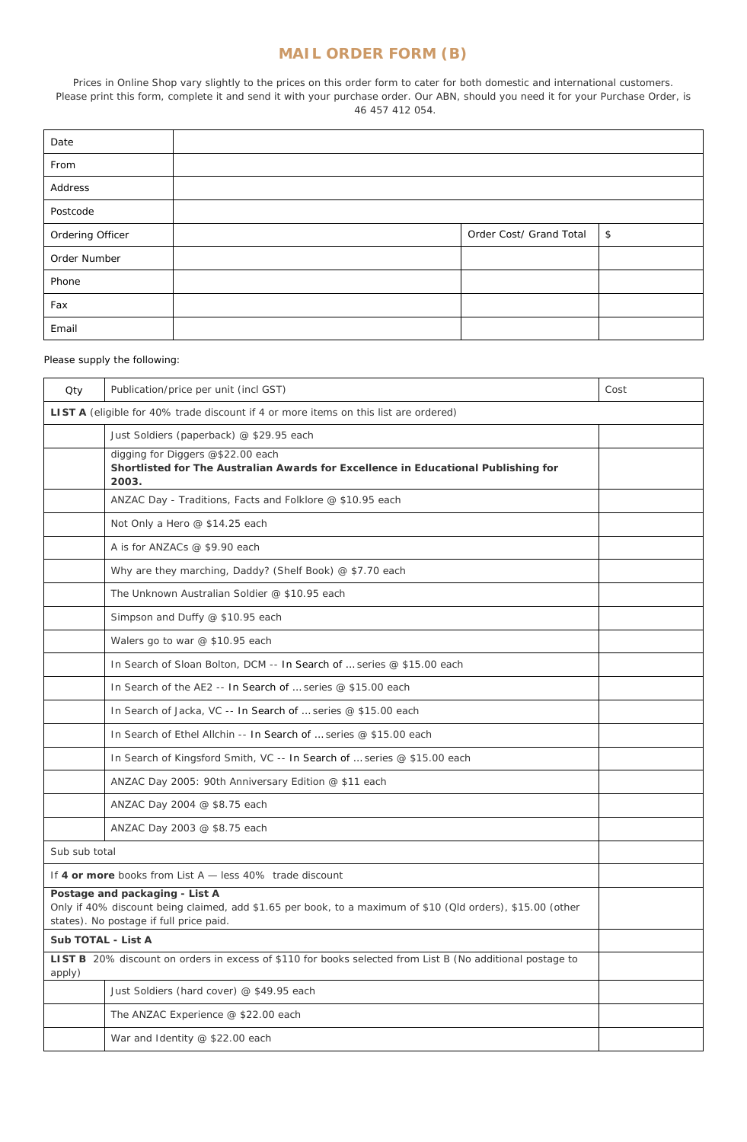## *MAIL ORDER FORM (B)*

Prices in Online Shop vary slightly to the prices on this order form to cater for both domestic and international customers. Please print this form, complete it and send it with your purchase order. Our ABN, should you need it for your Purchase Order, is 46 457 412 054.

| Date             |                         |    |
|------------------|-------------------------|----|
| From             |                         |    |
| Address          |                         |    |
| Postcode         |                         |    |
| Ordering Officer | Order Cost/ Grand Total | \$ |
| Order Number     |                         |    |
| Phone            |                         |    |
| Fax              |                         |    |
| Email            |                         |    |

## Please supply the following:

| Qty                                                                                  | Publication/price per unit (incl GST)                                                                                                                                                   | Cost |  |
|--------------------------------------------------------------------------------------|-----------------------------------------------------------------------------------------------------------------------------------------------------------------------------------------|------|--|
| LIST A (eligible for 40% trade discount if 4 or more items on this list are ordered) |                                                                                                                                                                                         |      |  |
|                                                                                      | Just Soldiers (paperback) @ \$29.95 each                                                                                                                                                |      |  |
|                                                                                      | digging for Diggers @\$22.00 each<br>Shortlisted for The Australian Awards for Excellence in Educational Publishing for<br>2003.                                                        |      |  |
|                                                                                      | ANZAC Day - Traditions, Facts and Folklore @ \$10.95 each                                                                                                                               |      |  |
|                                                                                      | Not Only a Hero @ \$14.25 each                                                                                                                                                          |      |  |
|                                                                                      | A is for ANZACs @ \$9.90 each                                                                                                                                                           |      |  |
|                                                                                      | Why are they marching, Daddy? (Shelf Book) @ \$7.70 each                                                                                                                                |      |  |
|                                                                                      | The Unknown Australian Soldier @ \$10.95 each                                                                                                                                           |      |  |
|                                                                                      | Simpson and Duffy @ \$10.95 each                                                                                                                                                        |      |  |
|                                                                                      | Walers go to war @ \$10.95 each                                                                                                                                                         |      |  |
|                                                                                      | In Search of Sloan Bolton, DCM -- In Search of  series @ \$15.00 each                                                                                                                   |      |  |
|                                                                                      | In Search of the AE2 -- In Search of  series @ \$15.00 each                                                                                                                             |      |  |
|                                                                                      | In Search of Jacka, VC -- In Search of  series @ \$15.00 each                                                                                                                           |      |  |
|                                                                                      | In Search of Ethel Allchin -- In Search of  series @ \$15.00 each                                                                                                                       |      |  |
|                                                                                      | In Search of Kingsford Smith, VC -- In Search of  series @ \$15.00 each                                                                                                                 |      |  |
|                                                                                      | ANZAC Day 2005: 90th Anniversary Edition @ \$11 each                                                                                                                                    |      |  |
|                                                                                      | ANZAC Day 2004 @ \$8.75 each                                                                                                                                                            |      |  |
|                                                                                      | ANZAC Day 2003 @ \$8.75 each                                                                                                                                                            |      |  |
|                                                                                      | Sub sub total                                                                                                                                                                           |      |  |
|                                                                                      | If 4 or more books from List A - less 40% trade discount                                                                                                                                |      |  |
|                                                                                      | Postage and packaging - List A<br>Only if 40% discount being claimed, add \$1.65 per book, to a maximum of \$10 (Qld orders), \$15.00 (other<br>states). No postage if full price paid. |      |  |
| Sub TOTAL - List A                                                                   |                                                                                                                                                                                         |      |  |
| apply)                                                                               | LIST B 20% discount on orders in excess of \$110 for books selected from List B (No additional postage to                                                                               |      |  |
|                                                                                      | Just Soldiers (hard cover) @ \$49.95 each                                                                                                                                               |      |  |
|                                                                                      | The ANZAC Experience @ \$22.00 each                                                                                                                                                     |      |  |
|                                                                                      | War and Identity @ \$22.00 each                                                                                                                                                         |      |  |
|                                                                                      |                                                                                                                                                                                         |      |  |